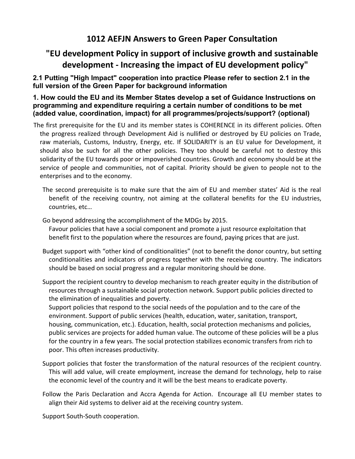## **1012 AEFJN Answers to Green Paper Consultation**

# **"EU development Policy in support of inclusive growth and sustainable development - Increasing the impact of EU development policy"**

## **2.1 Putting "High Impact" cooperation into practice Please refer to section 2.1 in the full version of the Green Paper for background information**

#### **1. How could the EU and its Member States develop a set of Guidance Instructions on programming and expenditure requiring a certain number of conditions to be met (added value, coordination, impact) for all programmes/projects/support? (optional)**

- The first prerequisite for the EU and its member states is COHERENCE in its different policies. Often the progress realized through Development Aid is nullified or destroyed by EU policies on Trade, raw materials, Customs, Industry, Energy, etc. If SOLIDARITY is an EU value for Development, it should also be such for all the other policies. They too should be careful not to destroy this solidarity of the EU towards poor or impoverished countries. Growth and economy should be at the service of people and communities, not of capital. Priority should be given to people not to the enterprises and to the economy.
	- The second prerequisite is to make sure that the aim of EU and member states' Aid is the real benefit of the receiving country, not aiming at the collateral benefits for the EU industries, countries, etc…
	- Go beyond addressing the accomplishment of the MDGs by 2015.
		- Favour policies that have a social component and promote a just resource exploitation that benefit first to the population where the resources are found, paying prices that are just.
	- Budget support with "other kind of conditionalities" (not to benefit the donor country, but setting conditionalities and indicators of progress together with the receiving country. The indicators should be based on social progress and a regular monitoring should be done.
	- Support the recipient country to develop mechanism to reach greater equity in the distribution of resources through a sustainable social protection network. Support public policies directed to the elimination of inequalities and poverty.

Support policies that respond to the social needs of the population and to the care of the environment. Support of public services (health, education, water, sanitation, transport, housing, communication, etc.). Education, health, social protection mechanisms and policies, public services are projects for added human value. The outcome of these policies will be a plus for the country in a few years. The social protection stabilizes economic transfers from rich to poor. This often increases productivity.

- Support policies that foster the transformation of the natural resources of the recipient country. This will add value, will create employment, increase the demand for technology, help to raise the economic level of the country and it will be the best means to eradicate poverty.
- Follow the Paris Declaration and Accra Agenda for Action. Encourage all EU member states to align their Aid systems to deliver aid at the receiving country system.

Support South-South cooperation.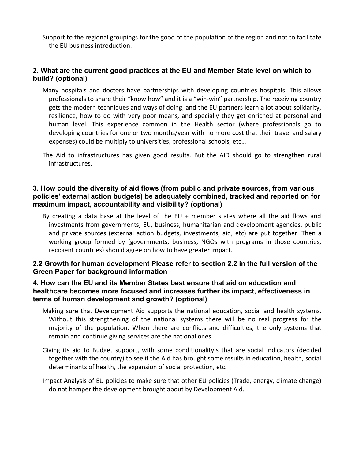Support to the regional groupings for the good of the population of the region and not to facilitate the EU business introduction.

## **2. What are the current good practices at the EU and Member State level on which to build? (optional)**

- Many hospitals and doctors have partnerships with developing countries hospitals. This allows professionals to share their "know how" and it is a "win-win" partnership. The receiving country gets the modern techniques and ways of doing, and the EU partners learn a lot about solidarity, resilience, how to do with very poor means, and specially they get enriched at personal and human level. This experience common in the Health sector (where professionals go to developing countries for one or two months/year with no more cost that their travel and salary expenses) could be multiply to universities, professional schools, etc…
- The Aid to infrastructures has given good results. But the AID should go to strengthen rural infrastructures.

#### **3. How could the diversity of aid flows (from public and private sources, from various policies' external action budgets) be adequately combined, tracked and reported on for maximum impact, accountability and visibility? (optional)**

By creating a data base at the level of the EU  $+$  member states where all the aid flows and investments from governments, EU, business, humanitarian and development agencies, public and private sources (external action budgets, investments, aid, etc) are put together. Then a working group formed by (governments, business, NGOs with programs in those countries, recipient countries) should agree on how to have greater impact.

#### **2.2 Growth for human development Please refer to section 2.2 in the full version of the Green Paper for background information**

#### **4. How can the EU and its Member States best ensure that aid on education and healthcare becomes more focused and increases further its impact, effectiveness in terms of human development and growth? (optional)**

- Making sure that Development Aid supports the national education, social and health systems. Without this strengthening of the national systems there will be no real progress for the majority of the population. When there are conflicts and difficulties, the only systems that remain and continue giving services are the national ones.
- Giving its aid to Budget support, with some conditionality's that are social indicators (decided together with the country) to see if the Aid has brought some results in education, health, social determinants of health, the expansion of social protection, etc.
- Impact Analysis of EU policies to make sure that other EU policies (Trade, energy, climate change) do not hamper the development brought about by Development Aid.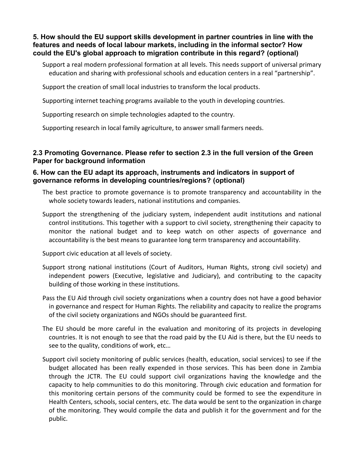**5. How should the EU support skills development in partner countries in line with the features and needs of local labour markets, including in the informal sector? How could the EU's global approach to migration contribute in this regard? (optional)**

Support a real modern professional formation at all levels. This needs support of universal primary education and sharing with professional schools and education centers in a real "partnership".

Support the creation of small local industries to transform the local products.

Supporting internet teaching programs available to the youth in developing countries.

Supporting research on simple technologies adapted to the country.

Supporting research in local family agriculture, to answer small farmers needs.

#### **2.3 Promoting Governance. Please refer to section 2.3 in the full version of the Green Paper for background information**

#### **6. How can the EU adapt its approach, instruments and indicators in support of governance reforms in developing countries/regions? (optional)**

- The best practice to promote governance is to promote transparency and accountability in the whole society towards leaders, national institutions and companies.
- Support the strengthening of the judiciary system, independent audit institutions and national control institutions. This together with a support to civil society, strengthening their capacity to monitor the national budget and to keep watch on other aspects of governance and accountability is the best means to guarantee long term transparency and accountability.

Support civic education at all levels of society.

- Support strong national institutions (Court of Auditors, Human Rights, strong civil society) and independent powers (Executive, legislative and Judiciary), and contributing to the capacity building of those working in these institutions.
- Pass the EU Aid through civil society organizations when a country does not have a good behavior in governance and respect for Human Rights. The reliability and capacity to realize the programs of the civil society organizations and NGOs should be guaranteed first.
- The EU should be more careful in the evaluation and monitoring of its projects in developing countries. It is not enough to see that the road paid by the EU Aid is there, but the EU needs to see to the quality, conditions of work, etc…
- Support civil society monitoring of public services (health, education, social services) to see if the budget allocated has been really expended in those services. This has been done in Zambia through the JCTR. The EU could support civil organizations having the knowledge and the capacity to help communities to do this monitoring. Through civic education and formation for this monitoring certain persons of the community could be formed to see the expenditure in Health Centers, schools, social centers, etc. The data would be sent to the organization in charge of the monitoring. They would compile the data and publish it for the government and for the public.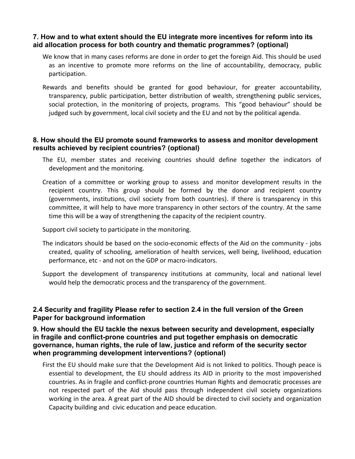#### **7. How and to what extent should the EU integrate more incentives for reform into its aid allocation process for both country and thematic programmes? (optional)**

- We know that in many cases reforms are done in order to get the foreign Aid. This should be used as an incentive to promote more reforms on the line of accountability, democracy, public participation.
- Rewards and benefits should be granted for good behaviour, for greater accountability, transparency, public participation, better distribution of wealth, strengthening public services, social protection, in the monitoring of projects, programs. This "good behaviour" should be judged such by government, local civil society and the EU and not by the political agenda.

#### **8. How should the EU promote sound frameworks to assess and monitor development results achieved by recipient countries? (optional)**

- The EU, member states and receiving countries should define together the indicators of development and the monitoring.
- Creation of a committee or working group to assess and monitor development results in the recipient country. This group should be formed by the donor and recipient country (governments, institutions, civil society from both countries). If there is transparency in this committee, it will help to have more transparency in other sectors of the country. At the same time this will be a way of strengthening the capacity of the recipient country.

Support civil society to participate in the monitoring.

- The indicators should be based on the socio-economic effects of the Aid on the community jobs created, quality of schooling, amelioration of health services, well being, livelihood, education performance, etc - and not on the GDP or macro-indicators.
- Support the development of transparency institutions at community, local and national level would help the democratic process and the transparency of the government.

#### **2.4 Security and fragility Please refer to section 2.4 in the full version of the Green Paper for background information**

**9. How should the EU tackle the nexus between security and development, especially in fragile and conflict-prone countries and put together emphasis on democratic governance, human rights, the rule of law, justice and reform of the security sector when programming development interventions? (optional)**

First the EU should make sure that the Development Aid is not linked to politics. Though peace is essential to development, the EU should address its AID in priority to the most impoverished countries. As in fragile and conflict-prone countries Human Rights and democratic processes are not respected part of the Aid should pass through independent civil society organizations working in the area. A great part of the AID should be directed to civil society and organization Capacity building and civic education and peace education.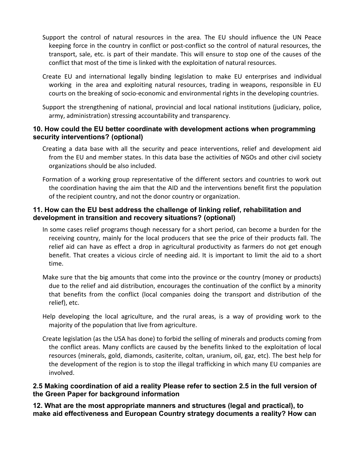- Support the control of natural resources in the area. The EU should influence the UN Peace keeping force in the country in conflict or post-conflict so the control of natural resources, the transport, sale, etc. is part of their mandate. This will ensure to stop one of the causes of the conflict that most of the time is linked with the exploitation of natural resources.
- Create EU and international legally binding legislation to make EU enterprises and individual working in the area and exploiting natural resources, trading in weapons, responsible in EU courts on the breaking of socio-economic and environmental rights in the developing countries.
- Support the strengthening of national, provincial and local national institutions (judiciary, police, army, administration) stressing accountability and transparency.

#### **10. How could the EU better coordinate with development actions when programming security interventions? (optional)**

- Creating a data base with all the security and peace interventions, relief and development aid from the EU and member states. In this data base the activities of NGOs and other civil society organizations should be also included.
- Formation of a working group representative of the different sectors and countries to work out the coordination having the aim that the AID and the interventions benefit first the population of the recipient country, and not the donor country or organization.

## **11. How can the EU best address the challenge of linking relief, rehabilitation and development in transition and recovery situations? (optional)**

- In some cases relief programs though necessary for a short period, can become a burden for the receiving country, mainly for the local producers that see the price of their products fall. The relief aid can have as effect a drop in agricultural productivity as farmers do not get enough benefit. That creates a vicious circle of needing aid. It is important to limit the aid to a short time.
- Make sure that the big amounts that come into the province or the country (money or products) due to the relief and aid distribution, encourages the continuation of the conflict by a minority that benefits from the conflict (local companies doing the transport and distribution of the relief), etc.
- Help developing the local agriculture, and the rural areas, is a way of providing work to the majority of the population that live from agriculture.
- Create legislation (as the USA has done) to forbid the selling of minerals and products coming from the conflict areas. Many conflicts are caused by the benefits linked to the exploitation of local resources (minerals, gold, diamonds, casiterite, coltan, uranium, oil, gaz, etc). The best help for the development of the region is to stop the illegal trafficking in which many EU companies are involved.

#### **2.5 Making coordination of aid a reality Please refer to section 2.5 in the full version of the Green Paper for background information**

**12. What are the most appropriate manners and structures (legal and practical), to make aid effectiveness and European Country strategy documents a reality? How can**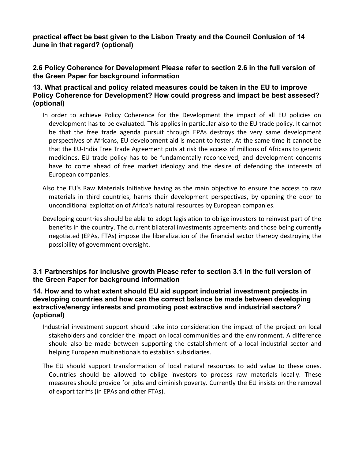**practical effect be best given to the Lisbon Treaty and the Council Conlusion of 14 June in that regard? (optional)**

#### **2.6 Policy Coherence for Development Please refer to section 2.6 in the full version of the Green Paper for background information**

#### **13. What practical and policy related measures could be taken in the EU to improve Policy Coherence for Development? How could progress and impact be best assesed? (optional)**

- In order to achieve Policy Coherence for the Development the impact of all EU policies on development has to be evaluated. This applies in particular also to the EU trade policy. It cannot be that the free trade agenda pursuit through EPAs destroys the very same development perspectives of Africans, EU development aid is meant to foster. At the same time it cannot be that the EU-India Free Trade Agreement puts at risk the access of millions of Africans to generic medicines. EU trade policy has to be fundamentally reconceived, and development concerns have to come ahead of free market ideology and the desire of defending the interests of European companies.
- Also the EU's Raw Materials Initiative having as the main objective to ensure the access to raw materials in third countries, harms their development perspectives, by opening the door to unconditional exploitation of Africa's natural resources by European companies.
- Developing countries should be able to adopt legislation to oblige investors to reinvest part of the benefits in the country. The current bilateral investments agreements and those being currently negotiated (EPAs, FTAs) impose the liberalization of the financial sector thereby destroying the possibility of government oversight.

## **3.1 Partnerships for inclusive growth Please refer to section 3.1 in the full version of the Green Paper for background information**

#### **14. How and to what extent should EU aid support industrial investment projects in developing countries and how can the correct balance be made between developing extractive/energy interests and promoting post extractive and industrial sectors? (optional)**

- Industrial investment support should take into consideration the impact of the project on local stakeholders and consider the impact on local communities and the environment. A difference should also be made between supporting the establishment of a local industrial sector and helping European multinationals to establish subsidiaries.
- The EU should support transformation of local natural resources to add value to these ones. Countries should be allowed to oblige investors to process raw materials locally. These measures should provide for jobs and diminish poverty. Currently the EU insists on the removal of export tariffs (in EPAs and other FTAs).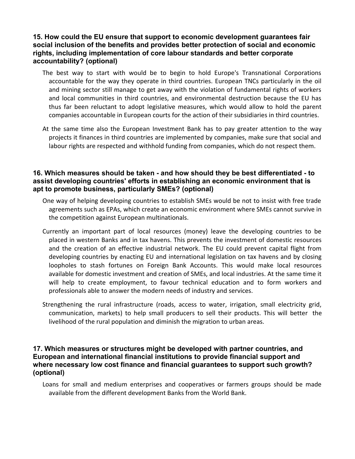#### **15. How could the EU ensure that support to economic development guarantees fair social inclusion of the benefits and provides better protection of social and economic rights, including implementation of core labour standards and better corporate accountability? (optional)**

- The best way to start with would be to begin to hold Europe's Transnational Corporations accountable for the way they operate in third countries. European TNCs particularly in the oil and mining sector still manage to get away with the violation of fundamental rights of workers and local communities in third countries, and environmental destruction because the EU has thus far been reluctant to adopt legislative measures, which would allow to hold the parent companies accountable in European courts for the action of their subsidiaries in third countries.
- At the same time also the European Investment Bank has to pay greater attention to the way projects it finances in third countries are implemented by companies, make sure that social and labour rights are respected and withhold funding from companies, which do not respect them.

#### **16. Which measures should be taken - and how should they be best differentiated - to assist developing countries' efforts in establishing an economic environment that is apt to promote business, particularly SMEs? (optional)**

- One way of helping developing countries to establish SMEs would be not to insist with free trade agreements such as EPAs, which create an economic environment where SMEs cannot survive in the competition against European multinationals.
- Currently an important part of local resources (money) leave the developing countries to be placed in western Banks and in tax havens. This prevents the investment of domestic resources and the creation of an effective industrial network. The EU could prevent capital flight from developing countries by enacting EU and international legislation on tax havens and by closing loopholes to stash fortunes on Foreign Bank Accounts. This would make local resources available for domestic investment and creation of SMEs, and local industries. At the same time it will help to create employment, to favour technical education and to form workers and professionals able to answer the modern needs of industry and services.
- Strengthening the rural infrastructure (roads, access to water, irrigation, small electricity grid, communication, markets) to help small producers to sell their products. This will better the livelihood of the rural population and diminish the migration to urban areas.

#### **17. Which measures or structures might be developed with partner countries, and European and international financial institutions to provide financial support and where necessary low cost finance and financial guarantees to support such growth? (optional)**

Loans for small and medium enterprises and cooperatives or farmers groups should be made available from the different development Banks from the World Bank.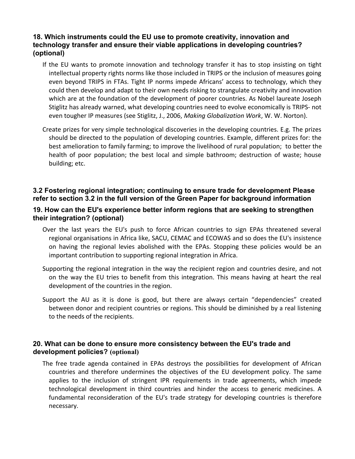#### **18. Which instruments could the EU use to promote creativity, innovation and technology transfer and ensure their viable applications in developing countries? (optional)**

- If the EU wants to promote innovation and technology transfer it has to stop insisting on tight intellectual property rights norms like those included in TRIPS or the inclusion of measures going even beyond TRIPS in FTAs. Tight IP norms impede Africans' access to technology, which they could then develop and adapt to their own needs risking to strangulate creativity and innovation which are at the foundation of the development of poorer countries. As Nobel laureate Joseph Stiglitz has already warned, what developing countries need to evolve economically is TRIPS- not even tougher IP measures (see Stiglitz, J., 2006, *Making Globalization Work*, W. W. Norton).
- Create prizes for very simple technological discoveries in the developing countries. E.g. The prizes should be directed to the population of developing countries. Example, different prizes for: the best amelioration to family farming; to improve the livelihood of rural population; to better the health of poor population; the best local and simple bathroom; destruction of waste; house building; etc.

#### **3.2 Fostering regional integration; continuing to ensure trade for development Please refer to section 3.2 in the full version of the Green Paper for background information**

#### **19. How can the EU's experience better inform regions that are seeking to strengthen their integration? (optional)**

- Over the last years the EU's push to force African countries to sign EPAs threatened several regional organisations in Africa like, SACU, CEMAC and ECOWAS and so does the EU's insistence on having the regional levies abolished with the EPAs. Stopping these policies would be an important contribution to supporting regional integration in Africa.
- Supporting the regional integration in the way the recipient region and countries desire, and not on the way the EU tries to benefit from this integration. This means having at heart the real development of the countries in the region.
- Support the AU as it is done is good, but there are always certain "dependencies" created between donor and recipient countries or regions. This should be diminished by a real listening to the needs of the recipients.

#### **20. What can be done to ensure more consistency between the EU's trade and development policies? (optional)**

The free trade agenda contained in EPAs destroys the possibilities for development of African countries and therefore undermines the objectives of the EU development policy. The same applies to the inclusion of stringent IPR requirements in trade agreements, which impede technological development in third countries and hinder the access to generic medicines. A fundamental reconsideration of the EU's trade strategy for developing countries is therefore necessary.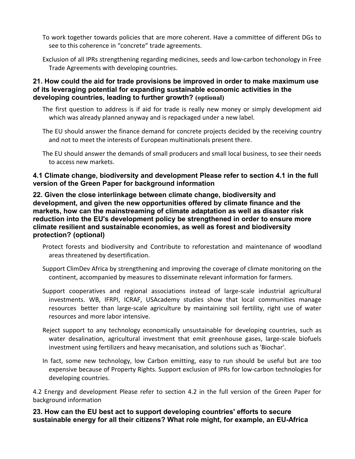- To work together towards policies that are more coherent. Have a committee of different DGs to see to this coherence in "concrete" trade agreements.
- Exclusion of all IPRs strengthening regarding medicines, seeds and low-carbon techonology in Free Trade Agreements with developing countries.

#### **21. How could the aid for trade provisions be improved in order to make maximum use of its leveraging potential for expanding sustainable economic activities in the developing countries, leading to further growth? (optional)**

- The first question to address is if aid for trade is really new money or simply development aid which was already planned anyway and is repackaged under a new label.
- The EU should answer the finance demand for concrete projects decided by the receiving country and not to meet the interests of European multinationals present there.
- The EU should answer the demands of small producers and small local business, to see their needs to access new markets.

## **4.1 Climate change, biodiversity and development Please refer to section 4.1 in the full version of the Green Paper for background information**

#### **22. Given the close interlinkage between climate change, biodiversity and development, and given the new opportunities offered by climate finance and the markets, how can the mainstreaming of climate adaptation as well as disaster risk reduction into the EU's development policy be strengthened in order to ensure more climate resilient and sustainable economies, as well as forest and biodiversity protection? (optional)**

- Protect forests and biodiversity and Contribute to reforestation and maintenance of woodland areas threatened by desertification.
- Support ClimDev Africa by strengthening and improving the coverage of climate monitoring on the continent, accompanied by measures to disseminate relevant information for farmers.
- Support cooperatives and regional associations instead of large-scale industrial agricultural investments. WB, IFRPI, ICRAF, USAcademy studies show that local communities manage resources better than large-scale agriculture by maintaining soil fertility, right use of water resources and more labor intensive.
- Reject support to any technology economically unsustainable for developing countries, such as water desalination, agricultural investment that emit greenhouse gases, large-scale biofuels investment using fertilizers and heavy mecanisation, and solutions such as 'Biochar'.
- In fact, some new technology, low Carbon emitting, easy to run should be useful but are too expensive because of Property Rights. Support exclusion of IPRs for low-carbon technologies for developing countries.

4.2 Energy and development Please refer to section 4.2 in the full version of the Green Paper for background information

**23. How can the EU best act to support developing countries' efforts to secure sustainable energy for all their citizens? What role might, for example, an EU-Africa**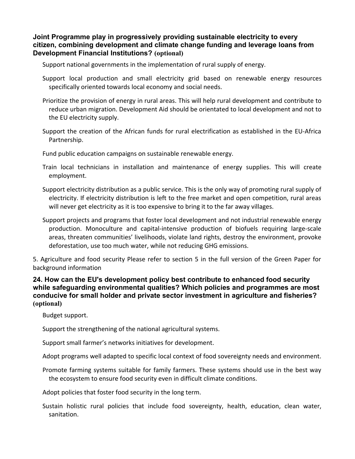**Joint Programme play in progressively providing sustainable electricity to every citizen, combining development and climate change funding and leverage loans from Development Financial Institutions? (optional)**

Support national governments in the implementation of rural supply of energy.

- Support local production and small electricity grid based on renewable energy resources specifically oriented towards local economy and social needs.
- Prioritize the provision of energy in rural areas. This will help rural development and contribute to reduce urban migration. Development Aid should be orientated to local development and not to the EU electricity supply.
- Support the creation of the African funds for rural electrification as established in the EU-Africa Partnership.

Fund public education campaigns on sustainable renewable energy.

- Train local technicians in installation and maintenance of energy supplies. This will create employment.
- Support electricity distribution as a public service. This is the only way of promoting rural supply of electricity. If electricity distribution is left to the free market and open competition, rural areas will never get electricity as it is too expensive to bring it to the far away villages.
- Support projects and programs that foster local development and not industrial renewable energy production. Monoculture and capital-intensive production of biofuels requiring large-scale areas, threaten communities' livelihoods, violate land rights, destroy the environment, provoke deforestation, use too much water, while not reducing GHG emissions.

5. Agriculture and food security Please refer to section 5 in the full version of the Green Paper for background information

**24. How can the EU's development policy best contribute to enhanced food security while safeguarding environmental qualities? Which policies and programmes are most conducive for small holder and private sector investment in agriculture and fisheries? (optional)**

Budget support.

Support the strengthening of the national agricultural systems.

Support small farmer's networks initiatives for development.

Adopt programs well adapted to specific local context of food sovereignty needs and environment.

Promote farming systems suitable for family farmers. These systems should use in the best way the ecosystem to ensure food security even in difficult climate conditions.

Adopt policies that foster food security in the long term.

Sustain holistic rural policies that include food sovereignty, health, education, clean water, sanitation.